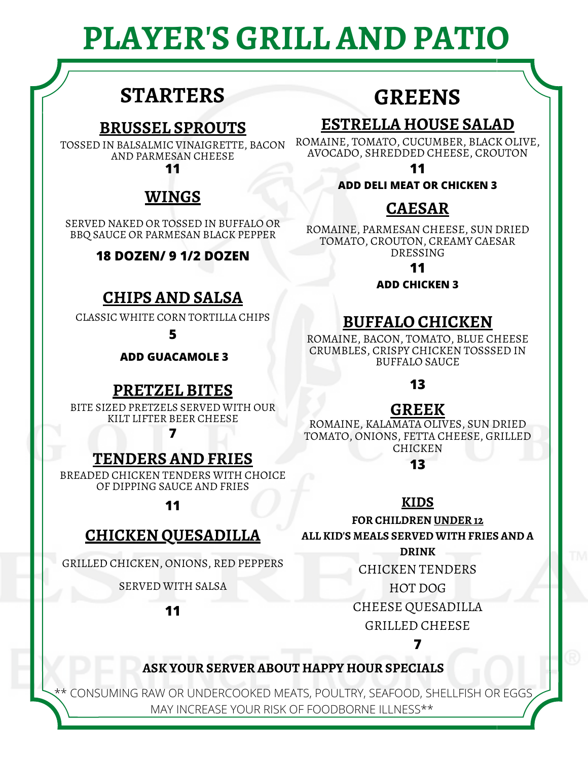# **PLAYER'S GRILL AND PATIO**

# **STARTERS**

### **BRUSSEL SPROUTS**

TOSSED IN BALSALMIC VINAIGRETTE, BACON AND PARMESAN CHEESE

**11**

## **WINGS**

SERVED NAKED OR TOSSED IN BUFFALO OR BBQ SAUCE OR PARMESAN BLACK PEPPER

### **18 DOZEN/ 9 1/2 DOZEN**

### **CHIPS AND SALSA**

CLASSIC WHITE CORN TORTILLA CHIPS

**5**

**ADD GUACAMOLE 3**

### **PRETZEL BITES**

BITE SIZED PRETZELS SERVED WITH OUR KILT LIFTER BEER CHEESE

**7**

### **TENDERS AND FRIES**

BREADED CHICKEN TENDERS WITH CHOICE OF DIPPING SAUCE AND FRIES

**11**

### **CHICKEN QUESADILLA**

GRILLED CHICKEN, ONIONS, RED PEPPERS

SERVED WITH SALSA

**11**

# **GREENS**

### **ESTRELLA HOUSE SALAD**

ROMAINE, TOMATO, CUCUMBER, BLACK OLIVE, AVOCADO, SHREDDED CHEESE, CROUTON

**11**

### **ADD DELI MEAT OR CHICKEN 3**

## **CAESAR**

ROMAINE, PARMESAN CHEESE, SUN DRIED TOMATO, CROUTON, CREAMY CAESAR DRESSING

**11**

**ADD CHICKEN 3**

### **BUFFALO CHICKEN**

ROMAINE, BACON, TOMATO, BLUE CHEESE CRUMBLES, CRISPY CHICKEN TOSSSED IN BUFFALO SAUCE

**13**

### **GREEK**

ROMAINE, KALAMATA OLIVES, SUN DRIED TOMATO, ONIONS, FETTA CHEESE, GRILLED **CHICKEN** 

**13**

### **KIDS**

**FOR CHILDREN UNDER 12**

**ALL KID'S MEALS SERVED WITH FRIES AND A**

**DRINK**

CHICKEN TENDERS

HOT DOG

CHEESE QUESADILLA

GRILLED CHEESE

### **7**

### **ASK YOUR SERVER ABOUT HAPPY HOUR SPECIALS**

\*\* CONSUMING RAW OR UNDERCOOKED MEATS, POULTRY, SEAFOOD, SHELLFISH OR EGGS MAY INCREASE YOUR RISK OF FOODBORNE ILLNESS\*\*